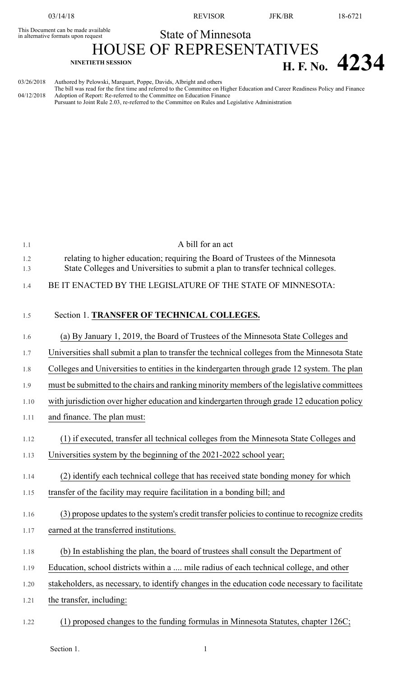03/14/18 REVISOR JFK/BR 18-6721

## This Document can be made available<br>in alternative formats upon request **State of Minnesota**

HOUSE OF REPRESENTATIVES **H. F. NO. 4234** 

03/26/2018 Authored by Pelowski, Marquart, Poppe, Davids, Albright and others The bill was read for the first time and referred to the Committee on Higher Education and Career Readiness Policy and Finance 04/12/2018 Adoption of Report: Re-referred to the Committee on Education Finance Pursuant to Joint Rule 2.03, re-referred to the Committee on Rules and Legislative Administration

| 1.1        | A bill for an act                                                                                                                                                  |
|------------|--------------------------------------------------------------------------------------------------------------------------------------------------------------------|
| 1.2<br>1.3 | relating to higher education; requiring the Board of Trustees of the Minnesota<br>State Colleges and Universities to submit a plan to transfer technical colleges. |
| 1.4        | BE IT ENACTED BY THE LEGISLATURE OF THE STATE OF MINNESOTA:                                                                                                        |
| 1.5        | Section 1. TRANSFER OF TECHNICAL COLLEGES.                                                                                                                         |
| 1.6        | (a) By January 1, 2019, the Board of Trustees of the Minnesota State Colleges and                                                                                  |
| 1.7        | Universities shall submit a plan to transfer the technical colleges from the Minnesota State                                                                       |
| 1.8        | Colleges and Universities to entities in the kindergarten through grade 12 system. The plan                                                                        |
| 1.9        | must be submitted to the chairs and ranking minority members of the legislative committees                                                                         |
| 1.10       | with jurisdiction over higher education and kindergarten through grade 12 education policy                                                                         |
| 1.11       | and finance. The plan must:                                                                                                                                        |
| 1.12       | (1) if executed, transfer all technical colleges from the Minnesota State Colleges and                                                                             |
| 1.13       | Universities system by the beginning of the 2021-2022 school year;                                                                                                 |
| 1.14       | (2) identify each technical college that has received state bonding money for which                                                                                |
| 1.15       | transfer of the facility may require facilitation in a bonding bill; and                                                                                           |
| 1.16       | (3) propose updates to the system's credit transfer policies to continue to recognize credits                                                                      |
| 1.17       | earned at the transferred institutions.                                                                                                                            |
| 1.18       | (b) In establishing the plan, the board of trustees shall consult the Department of                                                                                |
| 1.19       | Education, school districts within a  mile radius of each technical college, and other                                                                             |
| 1.20       | stakeholders, as necessary, to identify changes in the education code necessary to facilitate                                                                      |
| 1.21       | the transfer, including:                                                                                                                                           |
| 1.22       | (1) proposed changes to the funding formulas in Minnesota Statutes, chapter 126C;                                                                                  |

Section 1.